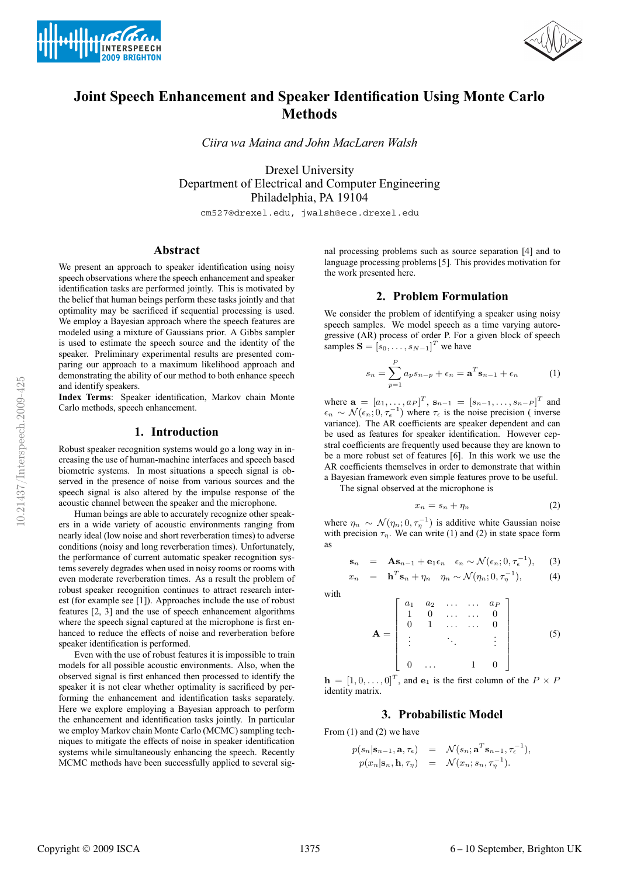



# **Joint Speech Enhancement and Speaker Identification Using Monte Carlo Methods**

*Ciira wa Maina and John MacLaren Walsh*

Drexel University Department of Electrical and Computer Engineering Philadelphia, PA 19104

cm527@drexel.edu, jwalsh@ece.drexel.edu

## **Abstract**

We present an approach to speaker identification using noisy speech observations where the speech enhancement and speaker identification tasks are performed jointly. This is motivated by the belief that human beings perform these tasks jointly and that optimality may be sacrificed if sequential processing is used. We employ a Bayesian approach where the speech features are modeled using a mixture of Gaussians prior. A Gibbs sampler is used to estimate the speech source and the identity of the speaker. Preliminary experimental results are presented comparing our approach to a maximum likelihood approach and demonstrating the ability of our method to both enhance speech and identify speakers.

**Index Terms**: Speaker identification, Markov chain Monte Carlo methods, speech enhancement.

## **1. Introduction**

Robust speaker recognition systems would go a long way in increasing the use of human-machine interfaces and speech based biometric systems. In most situations a speech signal is observed in the presence of noise from various sources and the speech signal is also altered by the impulse response of the acoustic channel between the speaker and the microphone.

Human beings are able to accurately recognize other speakers in a wide variety of acoustic environments ranging from nearly ideal (low noise and short reverberation times) to adverse conditions (noisy and long reverberation times). Unfortunately, the performance of current automatic speaker recognition systems severely degrades when used in noisy rooms or rooms with even moderate reverberation times. As a result the problem of robust speaker recognition continues to attract research interest (for example see [1]). Approaches include the use of robust features [2, 3] and the use of speech enhancement algorithms where the speech signal captured at the microphone is first enhanced to reduce the effects of noise and reverberation before speaker identification is performed.

Even with the use of robust features it is impossible to train models for all possible acoustic environments. Also, when the observed signal is first enhanced then processed to identify the speaker it is not clear whether optimality is sacrificed by performing the enhancement and identification tasks separately. Here we explore employing a Bayesian approach to perform the enhancement and identification tasks jointly. In particular we employ Markov chain Monte Carlo (MCMC) sampling techniques to mitigate the effects of noise in speaker identification systems while simultaneously enhancing the speech. Recently MCMC methods have been successfully applied to several signal processing problems such as source separation [4] and to language processing problems [5]. This provides motivation for the work presented here.

## **2. Problem Formulation**

We consider the problem of identifying a speaker using noisy speech samples. We model speech as a time varying autoregressive (AR) process of order P. For a given block of speech samples  $\mathbf{S} = [s_0, \dots, s_{N-1}]^T$  we have

$$
s_n = \sum_{p=1}^P a_p s_{n-p} + \epsilon_n = \mathbf{a}^T \mathbf{s}_{n-1} + \epsilon_n \tag{1}
$$

where  $\mathbf{a} = [a_1, ..., a_P]^T$ ,  $\mathbf{s}_{n-1} = [s_{n-1}, ..., s_{n-P}]^T$  and  $\epsilon_n \sim \mathcal{N}(\epsilon_n; 0, \tau_{\epsilon}^{-1})$  where  $\tau_{\epsilon}$  is the noise precision (inverse variance). The AR coefficients are speaker dependent and can be used as features for speaker identification. However cepstral coefficients are frequently used because they are known to be a more robust set of features [6]. In this work we use the AR coefficients themselves in order to demonstrate that within a Bayesian framework even simple features prove to be useful.

The signal observed at the microphone is

$$
x_n = s_n + \eta_n \tag{2}
$$

where  $\eta_n \sim \mathcal{N}(\eta_n; 0, \tau_n^{-1})$  is additive white Gaussian noise with precision  $\tau_n$ . We can write (1) and (2) in state space form as

$$
\mathbf{s}_n = \mathbf{A}\mathbf{s}_{n-1} + \mathbf{e}_1 \epsilon_n \quad \epsilon_n \sim \mathcal{N}(\epsilon_n; 0, \tau_{\epsilon}^{-1}), \quad (3)
$$

$$
x_n = \mathbf{h}^T \mathbf{s}_n + \eta_n \quad \eta_n \sim \mathcal{N}(\eta_n; 0, \tau_n^{-1}), \tag{4}
$$

with

$$
\mathbf{A} = \begin{bmatrix} a_1 & a_2 & \dots & \dots & a_P \\ 1 & 0 & \dots & \dots & 0 \\ 0 & 1 & \dots & \dots & 0 \\ \vdots & & \ddots & & \vdots \\ 0 & \dots & & 1 & 0 \end{bmatrix}
$$
(5)

 $h = [1, 0, \ldots, 0]^T$ , and  $e_1$  is the first column of the  $P \times P$ identity matrix.

### **3. Probabilistic Model**

From (1) and (2) we have

$$
p(s_n|\mathbf{s}_{n-1}, \mathbf{a}, \tau_{\epsilon}) = \mathcal{N}(s_n; \mathbf{a}^T \mathbf{s}_{n-1}, \tau_{\epsilon}^{-1}),
$$
  

$$
p(x_n|\mathbf{s}_n, \mathbf{h}, \tau_n) = \mathcal{N}(x_n; s_n, \tau_n^{-1}).
$$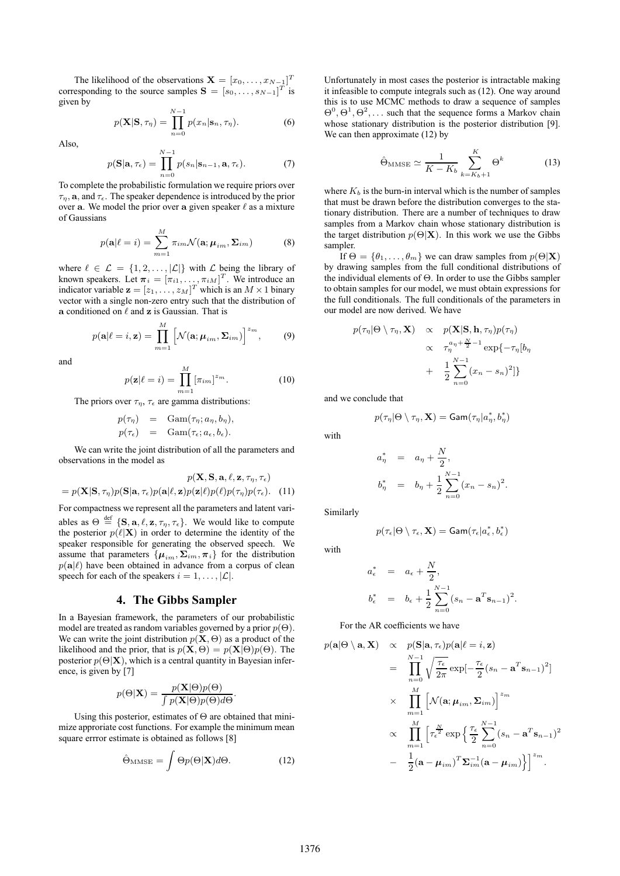The likelihood of the observations  $\mathbf{X} = [x_0, \dots, x_{N-1}]^T$ corresponding to the source samples  $\mathbf{S} = [s_0, \dots, s_{N-1}]^T$  is given by

$$
p(\mathbf{X}|\mathbf{S},\tau_{\eta}) = \prod_{n=0}^{N-1} p(x_n|\mathbf{s}_n,\tau_{\eta}).
$$
 (6)

Also,

$$
p(\mathbf{S}|\mathbf{a}, \tau_{\epsilon}) = \prod_{n=0}^{N-1} p(s_n|\mathbf{s}_{n-1}, \mathbf{a}, \tau_{\epsilon}).
$$
 (7)

To complete the probabilistic formulation we require priors over  $\tau_{\eta}$ , a, and  $\tau_{\epsilon}$ . The speaker dependence is introduced by the prior over a. We model the prior over a given speaker  $\ell$  as a mixture of Gaussians

$$
p(\mathbf{a}|\ell=i) = \sum_{m=1}^{M} \pi_{im} \mathcal{N}(\mathbf{a}; \mu_{im}, \Sigma_{im})
$$
(8)

where  $\ell \in \mathcal{L} = \{1, 2, ..., |\mathcal{L}|\}$  with  $\mathcal L$  being the library of known speakers. Let  $\boldsymbol{\pi}_i = [\pi_{i1}, \dots, \pi_{iM}]^T$ . We introduce an indicator variable  $\mathbf{z} = [z_1, \dots, z_M]^T$  which is an  $M \times 1$  binary vector with a single non-zero entry such that the distribution of a conditioned on  $\ell$  and  $z$  is Gaussian. That is

$$
p(\mathbf{a}|\ell=i,\mathbf{z})=\prod_{m=1}^{M}\left[\mathcal{N}(\mathbf{a};\boldsymbol{\mu}_{im},\boldsymbol{\Sigma}_{im})\right]^{z_m},\qquad(9)
$$

and

$$
p(\mathbf{z}|\ell = i) = \prod_{m=1}^{M} [\pi_{im}]^{z_m}.
$$
 (10)

The priors over  $\tau_{\eta}$ ,  $\tau_{\epsilon}$  are gamma distributions:

$$
p(\tau_{\eta}) = \text{Gam}(\tau_{\eta}; a_{\eta}, b_{\eta}),
$$
  

$$
p(\tau_{\epsilon}) = \text{Gam}(\tau_{\epsilon}; a_{\epsilon}, b_{\epsilon}).
$$

We can write the joint distribution of all the parameters and observations in the model as

$$
p(\mathbf{X}, \mathbf{S}, \mathbf{a}, \ell, \mathbf{z}, \tau_{\eta}, \tau_{\epsilon})
$$
  
=  $p(\mathbf{X}|\mathbf{S}, \tau_{\eta})p(\mathbf{S}|\mathbf{a}, \tau_{\epsilon})p(\mathbf{a}|\ell, \mathbf{z})p(\mathbf{z}|\ell)p(\ell)p(\tau_{\eta})p(\tau_{\epsilon}).$  (11)

For compactness we represent all the parameters and latent variables as  $\Theta \stackrel{\text{def}}{=} {\{S, a, \ell, z, \tau_{\eta}, \tau_{\epsilon}\}}$ . We would like to compute the posterior  $p(\ell|\mathbf{X})$  in order to determine the identity of the speaker responsible for generating the observed speech. We assume that parameters  $\{\mu_{im}, \Sigma_{im}, \pi_i\}$  for the distribution  $p(\mathbf{a}|\ell)$  have been obtained in advance from a corpus of clean speech for each of the speakers  $i = 1, \ldots, |\mathcal{L}|$ .

## **4. The Gibbs Sampler**

In a Bayesian framework, the parameters of our probabilistic model are treated as random variables governed by a prior  $p(\Theta)$ . We can write the joint distribution  $p(\mathbf{X}, \Theta)$  as a product of the likelihood and the prior, that is  $p(\mathbf{X}, \Theta) = p(\mathbf{X}|\Theta)p(\Theta)$ . The posterior  $p(\Theta|\mathbf{X})$ , which is a central quantity in Bayesian inference, is given by [7]

$$
p(\Theta|\mathbf{X}) = \frac{p(\mathbf{X}|\Theta)p(\Theta)}{\int p(\mathbf{X}|\Theta)p(\Theta)d\Theta}.
$$

Using this posterior, estimates of  $\Theta$  are obtained that minimize approriate cost functions. For example the minimum mean square errror estimate is obtained as follows [8]

$$
\hat{\Theta}_{\text{MMSE}} = \int \Theta p(\Theta | \mathbf{X}) d\Theta. \tag{12}
$$

Unfortunately in most cases the posterior is intractable making it infeasible to compute integrals such as (12). One way around this is to use MCMC methods to draw a sequence of samples  $\Theta^0$ ,  $\Theta^1$ ,  $\Theta^2$ ,... such that the sequence forms a Markov chain whose stationary distribution is the posterior distribution [9]. We can then approximate (12) by

$$
\hat{\Theta}_{\text{MMSE}} \simeq \frac{1}{K - K_b} \sum_{k=K_b+1}^{K} \Theta^k \tag{13}
$$

where  $K_b$  is the burn-in interval which is the number of samples that must be drawn before the distribution converges to the stationary distribution. There are a number of techniques to draw samples from a Markov chain whose stationary distribution is the target distribution  $p(\Theta|\mathbf{X})$ . In this work we use the Gibbs sampler.

If  $\Theta = {\theta_1, \ldots, \theta_m}$  we can draw samples from  $p(\Theta|\mathbf{X})$ by drawing samples from the full conditional distributions of the individual elements of Θ. In order to use the Gibbs sampler to obtain samples for our model, we must obtain expressions for the full conditionals. The full conditionals of the parameters in our model are now derived. We have

$$
p(\tau_{\eta}|\Theta \setminus \tau_{\eta}, \mathbf{X}) \propto p(\mathbf{X}|\mathbf{S}, \mathbf{h}, \tau_{\eta})p(\tau_{\eta})
$$
  
 
$$
\propto \tau_{\eta}^{a_{\eta} + \frac{N}{2} - 1} \exp\{-\tau_{\eta}[b_{\eta} + \frac{1}{2} \sum_{n=0}^{N-1} (x_n - s_n)^2]\}
$$

and we conclude that

$$
p(\tau_{\eta}|\Theta \setminus \tau_{\eta}, \mathbf{X}) = \mathsf{Gam}(\tau_{\eta}|a_{\eta}^*, b_{\eta}^*)
$$

with

$$
a_{\eta}^{*} = a_{\eta} + \frac{N}{2},
$$
  
\n
$$
b_{\eta}^{*} = b_{\eta} + \frac{1}{2} \sum_{n=0}^{N-1} (x_{n} - s_{n})^{2}.
$$

Similarly

$$
p(\tau_{\epsilon}|\Theta \setminus \tau_{\epsilon}, \mathbf{X}) = \mathsf{Gam}(\tau_{\epsilon} | a_{\epsilon}^*, b_{\epsilon}^*)
$$

with

$$
a_{\epsilon}^{*} = a_{\epsilon} + \frac{N}{2},
$$
  
\n
$$
b_{\epsilon}^{*} = b_{\epsilon} + \frac{1}{2} \sum_{n=0}^{N-1} (s_{n} - \mathbf{a}^{T} \mathbf{s}_{n-1})^{2}.
$$

For the AR coefficients we have

$$
p(\mathbf{a}|\Theta \setminus \mathbf{a}, \mathbf{X}) \propto p(\mathbf{S}|\mathbf{a}, \tau_{\epsilon})p(\mathbf{a}|\ell = i, \mathbf{z})
$$
  
\n
$$
= \prod_{n=0}^{N-1} \sqrt{\frac{\tau_{\epsilon}}{2\pi}} \exp[-\frac{\tau_{\epsilon}}{2}(s_n - \mathbf{a}^T \mathbf{s}_{n-1})^2]
$$
  
\n
$$
\times \prod_{m=1}^{M} \left[ \mathcal{N}(\mathbf{a}; \mu_{im}, \Sigma_{im}) \right]^{z_m}
$$
  
\n
$$
\propto \prod_{m=1}^{M} \left[ \tau_{\epsilon}^{\frac{N}{2}} \exp\left\{ \frac{\tau_{\epsilon}}{2} \sum_{n=0}^{N-1} (s_n - \mathbf{a}^T \mathbf{s}_{n-1})^2 \right\} - \frac{1}{2} (\mathbf{a} - \mu_{im})^T \Sigma_{im}^{-1} (\mathbf{a} - \mu_{im}) \right\} \right]^{z_m}.
$$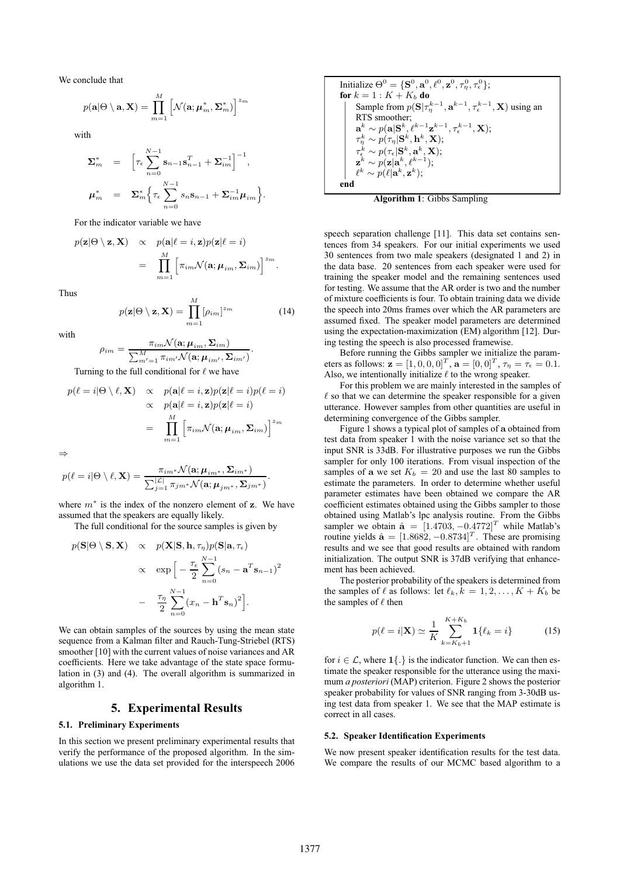We conclude that

$$
p(\mathbf{a}|\Theta \setminus \mathbf{a}, \mathbf{X}) = \prod_{m=1}^{M} \left[ \mathcal{N}(\mathbf{a}; \boldsymbol{\mu}^*_m, \boldsymbol{\Sigma}^*_m) \right]^{z_m}
$$

with

$$
\begin{array}{rcl} \mathbf{\Sigma}^{*}_{m} & = & \Big[ \tau_{\epsilon} \sum_{n=0}^{N-1} \mathbf{s}_{n-1} \mathbf{s}_{n-1}^{T} + \mathbf{\Sigma}^{-1}_{im} \Big]^{-1}, \\[0.5em] \boldsymbol{\mu}^{*}_{m} & = & \mathbf{\Sigma}^{*}_{m} \Big\{ \tau_{\epsilon} \sum_{n=0}^{N-1} s_{n} \mathbf{s}_{n-1} + \mathbf{\Sigma}^{-1}_{im} \boldsymbol{\mu}_{im} \Big\}. \end{array}
$$

For the indicator variable we have

$$
p(\mathbf{z}|\Theta \setminus \mathbf{z}, \mathbf{X}) \propto p(\mathbf{a}|\ell = i, \mathbf{z})p(\mathbf{z}|\ell = i)
$$
  
= 
$$
\prod_{m=1}^{M} \left[ \pi_{im} \mathcal{N}(\mathbf{a}; \mu_{im}, \Sigma_{im}) \right]^{z_m}.
$$

Thus

$$
p(\mathbf{z}|\Theta \setminus \mathbf{z}, \mathbf{X}) = \prod_{m=1}^{M} [\rho_{im}]^{z_m}
$$
 (14)

with

$$
\rho_{im} = \frac{\pi_{im} \mathcal{N}(\mathbf{a}; \boldsymbol{\mu}_{im}, \boldsymbol{\Sigma}_{im})}{\sum_{m'=1}^{M} \pi_{im'} \mathcal{N}(\mathbf{a}; \boldsymbol{\mu}_{im'}, \boldsymbol{\Sigma}_{im'})}.
$$

Turning to the full conditional for  $\ell$  we have

$$
p(\ell = i | \Theta \setminus \ell, \mathbf{X}) \propto p(\mathbf{a} | \ell = i, \mathbf{z}) p(\mathbf{z} | \ell = i) p(\ell = i)
$$
  
 
$$
\propto p(\mathbf{a} | \ell = i, \mathbf{z}) p(\mathbf{z} | \ell = i)
$$
  
 
$$
= \prod_{m=1}^{M} \left[ \pi_{im} \mathcal{N}(\mathbf{a}; \mu_{im}, \mathbf{\Sigma}_{im}) \right]^{z_m}
$$

⇒

$$
p(\ell = i | \Theta \setminus \ell, \mathbf{X}) = \frac{\pi_{im^*} \mathcal{N}(\mathbf{a}; \mu_{im^*}, \Sigma_{im^*})}{\sum_{j=1}^{|\mathcal{L}|} \pi_{jm^*} \mathcal{N}(\mathbf{a}; \mu_{jm^*}, \Sigma_{jm^*})}.
$$

where  $m^*$  is the index of the nonzero element of z. We have assumed that the speakers are equally likely.

The full conditional for the source samples is given by

$$
p(\mathbf{S}|\Theta \setminus \mathbf{S}, \mathbf{X}) \propto p(\mathbf{X}|\mathbf{S}, \mathbf{h}, \tau_{\eta}) p(\mathbf{S}|\mathbf{a}, \tau_{\epsilon})
$$

$$
\propto \exp \Big[ -\frac{\tau_{\epsilon}}{2} \sum_{n=0}^{N-1} (s_n - \mathbf{a}^T \mathbf{s}_{n-1})^2
$$

$$
- \frac{\tau_{\eta}}{2} \sum_{n=0}^{N-1} (x_n - \mathbf{h}^T \mathbf{s}_n)^2 \Big].
$$

We can obtain samples of the sources by using the mean state sequence from a Kalman filter and Rauch-Tung-Striebel (RTS) smoother [10] with the current values of noise variances and AR coefficients. Here we take advantage of the state space formulation in (3) and (4). The overall algorithm is summarized in algorithm 1.

# **5. Experimental Results**

## **5.1. Preliminary Experiments**

In this section we present preliminary experimental results that verify the performance of the proposed algorithm. In the simulations we use the data set provided for the interspeech 2006

Initialize 
$$
\Theta^0 = \{ \mathbf{S}^0, \mathbf{a}^0, \ell^0, \mathbf{z}^0, \tau_\eta^0, \tau_\epsilon^0 \};
$$

\nfor  $k = 1 : K + K_b$  do

\nSample from  $p(\mathbf{S}|\tau_\eta^{k-1}, \mathbf{a}^{k-1}, \tau_\epsilon^{k-1}, \mathbf{X})$  using an  
\nRTS smoother;

\n
$$
\mathbf{a}^k \sim p(\mathbf{a}|\mathbf{S}^k, \ell^{k-1}\mathbf{z}^{k-1}, \tau_\epsilon^{k-1}, \mathbf{X});
$$

\n
$$
\tau_\eta^k \sim p(\tau_\eta|\mathbf{S}^k, \mathbf{h}^k, \mathbf{X});
$$

\n
$$
\tau_\epsilon^k \sim p(\tau_\epsilon|\mathbf{S}^k, \mathbf{a}^k, \mathbf{X});
$$

\n
$$
\mathbf{z}^k \sim p(\mathbf{z}|\mathbf{a}^k, \ell^{k-1});
$$

\n
$$
\ell^k \sim p(\ell|\mathbf{a}^k, \mathbf{z}^k);
$$

\nend



speech separation challenge [11]. This data set contains sentences from 34 speakers. For our initial experiments we used 30 sentences from two male speakers (designated 1 and 2) in the data base. 20 sentences from each speaker were used for training the speaker model and the remaining sentences used for testing. We assume that the AR order is two and the number of mixture coefficients is four. To obtain training data we divide the speech into 20ms frames over which the AR parameters are assumed fixed. The speaker model parameters are determined using the expectation-maximization (EM) algorithm [12]. During testing the speech is also processed framewise.

Before running the Gibbs sampler we initialize the parameters as follows:  $\mathbf{z} = [1, 0, 0, 0]^T$ ,  $\mathbf{a} = [0, 0]^T$ ,  $\tau_{\eta} = \tau_{\epsilon} = 0.1$ . Also, we intentionally initialize  $\ell$  to the wrong speaker.

For this problem we are mainly interested in the samples of  $\ell$  so that we can determine the speaker responsible for a given utterance. However samples from other quantities are useful in determining convergence of the Gibbs sampler.

Figure 1 shows a typical plot of samples of a obtained from test data from speaker 1 with the noise variance set so that the input SNR is 33dB. For illustrative purposes we run the Gibbs sampler for only 100 iterations. From visual inspection of the samples of a we set  $K_b = 20$  and use the last 80 samples to estimate the parameters. In order to determine whether useful parameter estimates have been obtained we compare the AR coefficient estimates obtained using the Gibbs sampler to those obtained using Matlab's lpc analysis routine. From the Gibbs sampler we obtain  $\hat{\mathbf{a}} = [1.4703, -0.4772]^T$  while Matlab's routine yields  $\hat{\mathbf{a}} = [1.8682, -0.8734]^T$ . These are promising results and we see that good results are obtained with random initialization. The output SNR is 37dB verifying that enhancement has been achieved.

The posterior probability of the speakers is determined from the samples of  $\ell$  as follows: let  $\ell_k, k = 1, 2, ..., K + K_b$  be the samples of  $\ell$  then

$$
p(\ell = i | \mathbf{X}) \simeq \frac{1}{K} \sum_{k=K_b+1}^{K+K_b} \mathbf{1} \{ \ell_k = i \}
$$
 (15)

for  $i \in \mathcal{L}$ , where  $1\{\cdot\}$  is the indicator function. We can then estimate the speaker responsible for the utterance using the maximum *a posteriori* (MAP) criterion. Figure 2 shows the posterior speaker probability for values of SNR ranging from 3-30dB using test data from speaker 1. We see that the MAP estimate is correct in all cases.

### **5.2. Speaker Identification Experiments**

We now present speaker identification results for the test data. We compare the results of our MCMC based algorithm to a